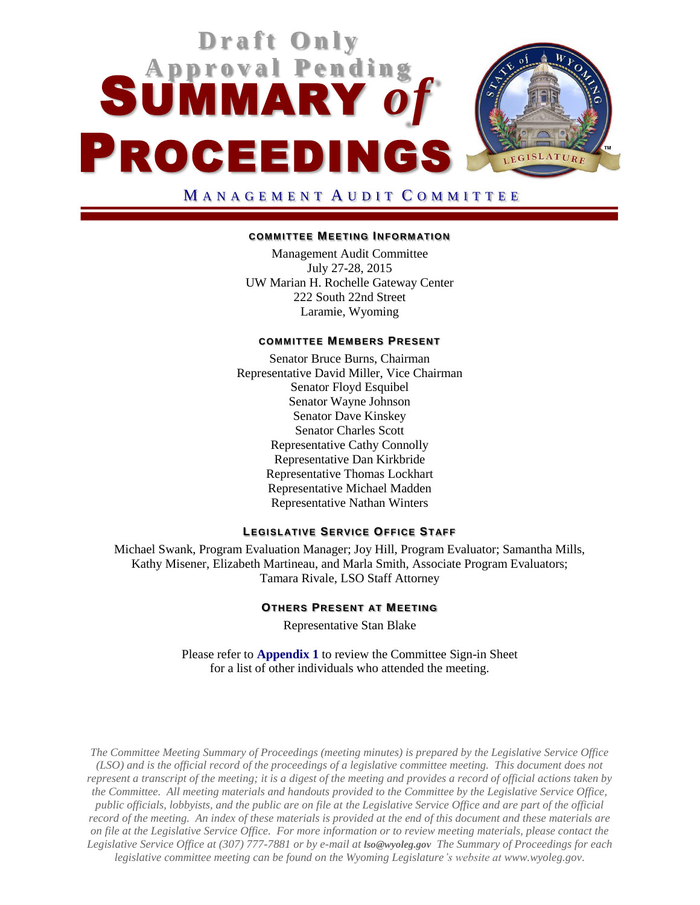

### MANAGEMENT AUDIT COMMITTEE

#### **COMMITTEE MEETING INFORM ATION**

Management Audit Committee July 27-28, 2015 UW Marian H. Rochelle Gateway Center 222 South 22nd Street Laramie, Wyoming

#### **COMMITTEE MEMBERS PRESENT**

Senator Bruce Burns, Chairman Representative David Miller, Vice Chairman Senator Floyd Esquibel Senator Wayne Johnson Senator Dave Kinskey Senator Charles Scott Representative Cathy Connolly Representative Dan Kirkbride Representative Thomas Lockhart Representative Michael Madden Representative Nathan Winters

#### **LEGISLATIVE SERVICE OFFICE STAFF**

Michael Swank, Program Evaluation Manager; Joy Hill, Program Evaluator; Samantha Mills, Kathy Misener, Elizabeth Martineau, and Marla Smith, Associate Program Evaluators; Tamara Rivale, LSO Staff Attorney

#### **OTHERS PRESENT AT MEETING**

Representative Stan Blake

Please refer to **[Appendix 1](SMA-0727APPENDIX1.pdf)** to review the Committee Sign-in Sheet for a list of other individuals who attended the meeting.

*The Committee Meeting Summary of Proceedings (meeting minutes) is prepared by the Legislative Service Office (LSO) and is the official record of the proceedings of a legislative committee meeting. This document does not represent a transcript of the meeting; it is a digest of the meeting and provides a record of official actions taken by the Committee. All meeting materials and handouts provided to the Committee by the Legislative Service Office, public officials, lobbyists, and the public are on file at the Legislative Service Office and are part of the official record of the meeting. An index of these materials is provided at the end of this document and these materials are on file at the Legislative Service Office. For more information or to review meeting materials, please contact the Legislative Service Office at (307) 777-7881 or by e-mail at [lso@wyoleg.gov](mailto:lso@wyoleg.gov) The Summary of Proceedings for each legislative committee meeting can be found on the Wyoming Legislature's website at www.wyoleg.gov.*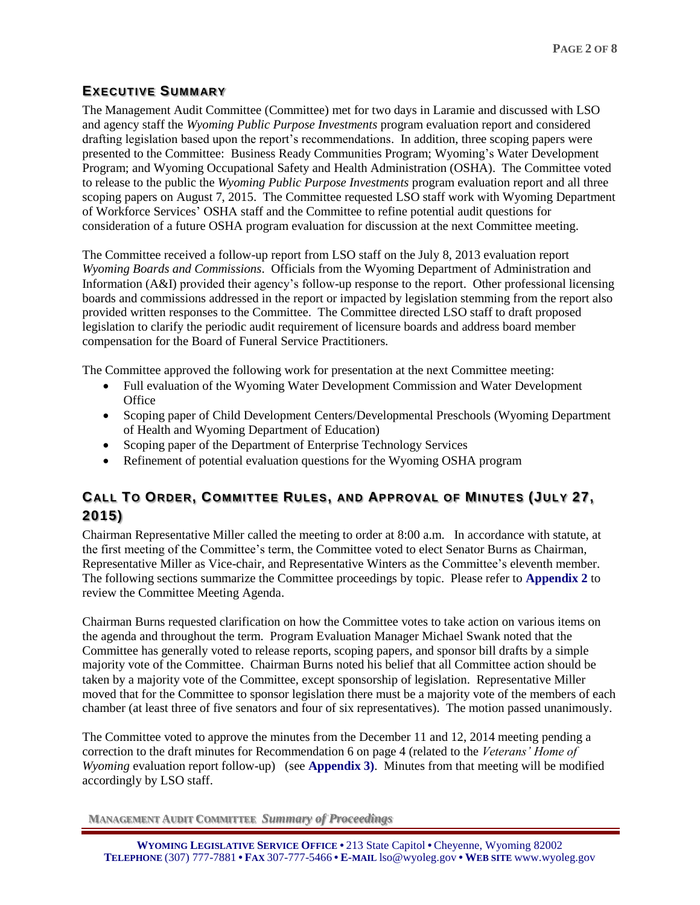## **EXECUTIVE SUMMARY**

The Management Audit Committee (Committee) met for two days in Laramie and discussed with LSO and agency staff the *Wyoming Public Purpose Investments* program evaluation report and considered drafting legislation based upon the report's recommendations. In addition, three scoping papers were presented to the Committee: Business Ready Communities Program; Wyoming's Water Development Program; and Wyoming Occupational Safety and Health Administration (OSHA). The Committee voted to release to the public the *Wyoming Public Purpose Investments* program evaluation report and all three scoping papers on August 7, 2015. The Committee requested LSO staff work with Wyoming Department of Workforce Services' OSHA staff and the Committee to refine potential audit questions for consideration of a future OSHA program evaluation for discussion at the next Committee meeting.

The Committee received a follow-up report from LSO staff on the July 8, 2013 evaluation report *Wyoming Boards and Commissions*. Officials from the Wyoming Department of Administration and Information (A&I) provided their agency's follow-up response to the report. Other professional licensing boards and commissions addressed in the report or impacted by legislation stemming from the report also provided written responses to the Committee. The Committee directed LSO staff to draft proposed legislation to clarify the periodic audit requirement of licensure boards and address board member compensation for the Board of Funeral Service Practitioners.

The Committee approved the following work for presentation at the next Committee meeting:

- Full evaluation of the Wyoming Water Development Commission and Water Development **Office**
- Scoping paper of Child Development Centers/Developmental Preschools (Wyoming Department of Health and Wyoming Department of Education)
- Scoping paper of the Department of Enterprise Technology Services
- Refinement of potential evaluation questions for the Wyoming OSHA program

# **CALL TO ORDER, COMMITTEE RULES, AND APPROVAL OF MINUTES (JULY 27, 2015)**

Chairman Representative Miller called the meeting to order at 8:00 a.m. In accordance with statute, at the first meeting of the Committee's term, the Committee voted to elect Senator Burns as Chairman, Representative Miller as Vice-chair, and Representative Winters as the Committee's eleventh member. The following sections summarize the Committee proceedings by topic. Please refer to **[Appendix 2](http://legisweb.state.wy.us/InterimCommittee/2015/SMA-0727APPENDIX2.pdf)** to review the Committee Meeting Agenda.

Chairman Burns requested clarification on how the Committee votes to take action on various items on the agenda and throughout the term. Program Evaluation Manager Michael Swank noted that the Committee has generally voted to release reports, scoping papers, and sponsor bill drafts by a simple majority vote of the Committee. Chairman Burns noted his belief that all Committee action should be taken by a majority vote of the Committee, except sponsorship of legislation. Representative Miller moved that for the Committee to sponsor legislation there must be a majority vote of the members of each chamber (at least three of five senators and four of six representatives). The motion passed unanimously.

The Committee voted to approve the minutes from the December 11 and 12, 2014 meeting pending a correction to the draft minutes for Recommendation 6 on page 4 (related to the *Veterans' Home of Wyoming* evaluation report follow-up) (see **[Appendix 3\)](http://legisweb.state.wy.us/InterimCommittee/2015/SMA-0727APPENDIX3.pdf)**. Minutes from that meeting will be modified accordingly by LSO staff.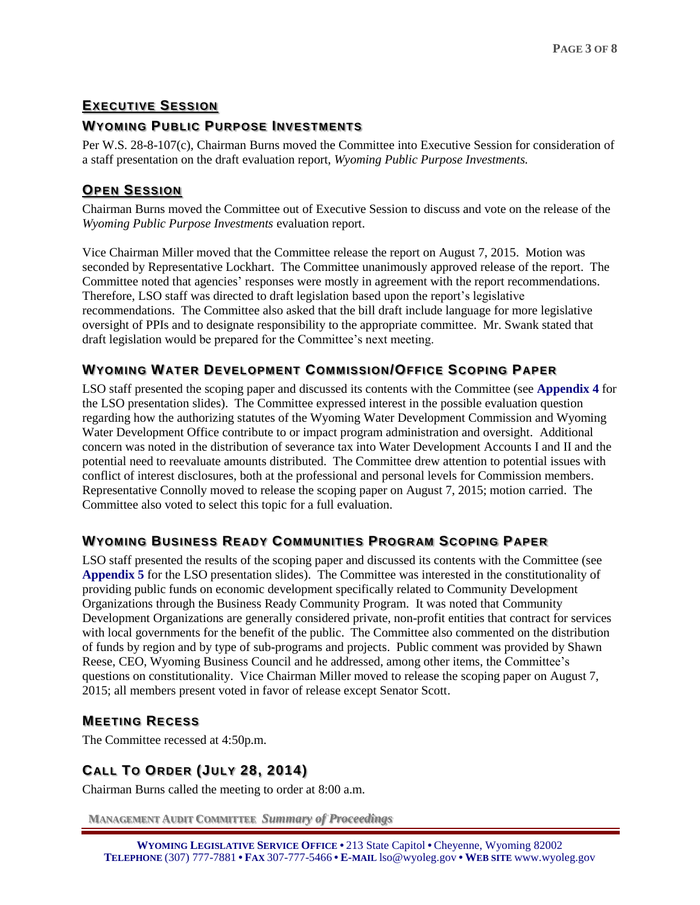# **EXECUTIVE SESSION**

# **WYOMING PUBLIC PURPOSE INVESTMENTS**

Per W.S. 28-8-107(c), Chairman Burns moved the Committee into Executive Session for consideration of a staff presentation on the draft evaluation report, *Wyoming Public Purpose Investments.*

# **OPEN SESSION**

Chairman Burns moved the Committee out of Executive Session to discuss and vote on the release of the *Wyoming Public Purpose Investments* evaluation report.

Vice Chairman Miller moved that the Committee release the report on August 7, 2015. Motion was seconded by Representative Lockhart. The Committee unanimously approved release of the report. The Committee noted that agencies' responses were mostly in agreement with the report recommendations. Therefore, LSO staff was directed to draft legislation based upon the report's legislative recommendations. The Committee also asked that the bill draft include language for more legislative oversight of PPIs and to designate responsibility to the appropriate committee. Mr. Swank stated that draft legislation would be prepared for the Committee's next meeting.

## **WYOMING WATER DEVELOPMENT COMMISSION/OFFICE SCOPING PAPER**

LSO staff presented the scoping paper and discussed its contents with the Committee (see **[Appendix 4](http://legisweb.state.wy.us/InterimCommittee/2015/SMA-0727APPENDIX4.pdf)** for the LSO presentation slides). The Committee expressed interest in the possible evaluation question regarding how the authorizing statutes of the Wyoming Water Development Commission and Wyoming Water Development Office contribute to or impact program administration and oversight. Additional concern was noted in the distribution of severance tax into Water Development Accounts I and II and the potential need to reevaluate amounts distributed. The Committee drew attention to potential issues with conflict of interest disclosures, both at the professional and personal levels for Commission members. Representative Connolly moved to release the scoping paper on August 7, 2015; motion carried. The Committee also voted to select this topic for a full evaluation.

# **WYOMING BUSINESS READY COMMUNITIES PROGRAM SCOPING PAPER**

LSO staff presented the results of the scoping paper and discussed its contents with the Committee (see **[Appendix](http://legisweb.state.wy.us/InterimCommittee/2015/SMA-0727APPENDIX5.pdf) 5** for the LSO presentation slides). The Committee was interested in the constitutionality of providing public funds on economic development specifically related to Community Development Organizations through the Business Ready Community Program. It was noted that Community Development Organizations are generally considered private, non-profit entities that contract for services with local governments for the benefit of the public. The Committee also commented on the distribution of funds by region and by type of sub-programs and projects. Public comment was provided by Shawn Reese, CEO, Wyoming Business Council and he addressed, among other items, the Committee's questions on constitutionality. Vice Chairman Miller moved to release the scoping paper on August 7, 2015; all members present voted in favor of release except Senator Scott.

### **MEETING RECESS**

The Committee recessed at 4:50p.m.

# **CALL TO ORDER (JULY 28, 2014)**

Chairman Burns called the meeting to order at 8:00 a.m.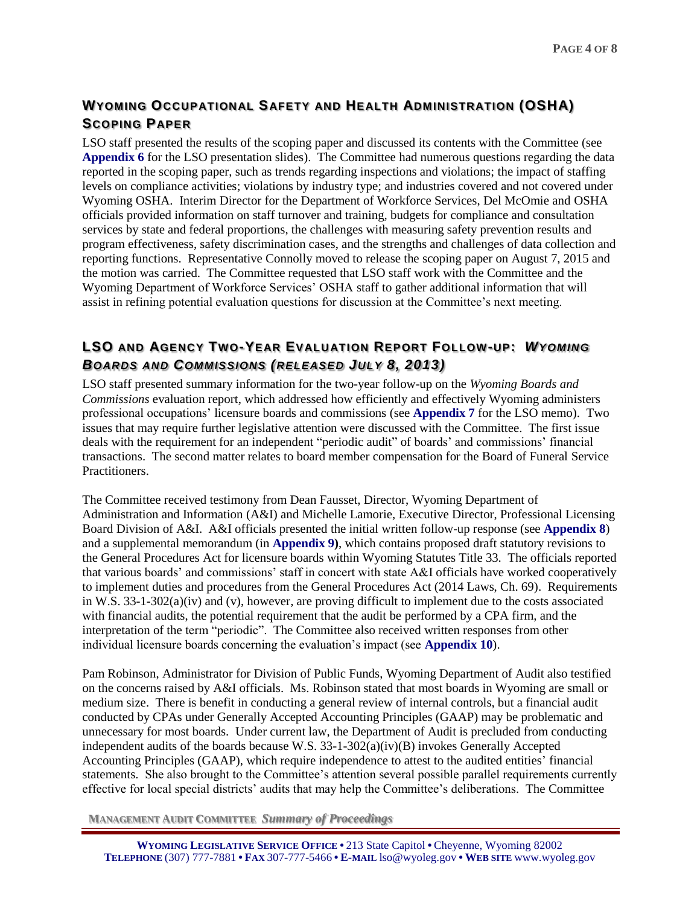# **WYOMING OCCUPATIONAL SAFETY AND HEALTH ADMINISTRATION (OSHA) SCOPING PAPER**

LSO staff presented the results of the scoping paper and discussed its contents with the Committee (see **[Appendix](http://legisweb.state.wy.us/InterimCommittee/2015/SMA-0727APPENDIX6.pdf) 6** for the LSO presentation slides). The Committee had numerous questions regarding the data reported in the scoping paper, such as trends regarding inspections and violations; the impact of staffing levels on compliance activities; violations by industry type; and industries covered and not covered under Wyoming OSHA. Interim Director for the Department of Workforce Services, Del McOmie and OSHA officials provided information on staff turnover and training, budgets for compliance and consultation services by state and federal proportions, the challenges with measuring safety prevention results and program effectiveness, safety discrimination cases, and the strengths and challenges of data collection and reporting functions. Representative Connolly moved to release the scoping paper on August 7, 2015 and the motion was carried. The Committee requested that LSO staff work with the Committee and the Wyoming Department of Workforce Services' OSHA staff to gather additional information that will assist in refining potential evaluation questions for discussion at the Committee's next meeting.

# **LSO AND AGENCY TWO-YEAR EVALUATION REPORT FOLLOW-UP:** *WYOMING BOARDS AND COMMISSIONS (RELEASED JULY 8, 2013)*

LSO staff presented summary information for the two-year follow-up on the *Wyoming Boards and Commissions* evaluation report, which addressed how efficiently and effectively Wyoming administers professional occupations' licensure boards and commissions (see **[Appendix 7](http://legisweb.state.wy.us/InterimCommittee/2015/SMA-0727APPENDIX7.pdf)** for the LSO memo). Two issues that may require further legislative attention were discussed with the Committee. The first issue deals with the requirement for an independent "periodic audit" of boards' and commissions' financial transactions. The second matter relates to board member compensation for the Board of Funeral Service Practitioners.

The Committee received testimony from Dean Fausset, Director, Wyoming Department of Administration and Information (A&I) and Michelle Lamorie, Executive Director, Professional Licensing Board Division of A&I. A&I officials presented the initial written follow-up response (see **[Appendix 8](http://legisweb.state.wy.us/InterimCommittee/2015/SMA-0727APPENDIX8.pdf)**) and a supplemental memorandum (in **[Appendix 9\)](http://legisweb.state.wy.us/InterimCommittee/2015/SMA-0727APPENDIX9.pdf)**, which contains proposed draft statutory revisions to the General Procedures Act for licensure boards within Wyoming Statutes Title 33. The officials reported that various boards' and commissions' staff in concert with state A&I officials have worked cooperatively to implement duties and procedures from the General Procedures Act (2014 Laws, Ch. 69). Requirements in W.S. 33-1-302(a)(iv) and (v), however, are proving difficult to implement due to the costs associated with financial audits, the potential requirement that the audit be performed by a CPA firm, and the interpretation of the term "periodic". The Committee also received written responses from other individual licensure boards concerning the evaluation's impact (see **[Appendix 10](http://legisweb.state.wy.us/InterimCommittee/2015/SMA-0727APPENDIX10)**).

Pam Robinson, Administrator for Division of Public Funds, Wyoming Department of Audit also testified on the concerns raised by A&I officials. Ms. Robinson stated that most boards in Wyoming are small or medium size. There is benefit in conducting a general review of internal controls, but a financial audit conducted by CPAs under Generally Accepted Accounting Principles (GAAP) may be problematic and unnecessary for most boards. Under current law, the Department of Audit is precluded from conducting independent audits of the boards because W.S. 33-1-302(a)(iv)(B) invokes Generally Accepted Accounting Principles (GAAP), which require independence to attest to the audited entities' financial statements. She also brought to the Committee's attention several possible parallel requirements currently effective for local special districts' audits that may help the Committee's deliberations. The Committee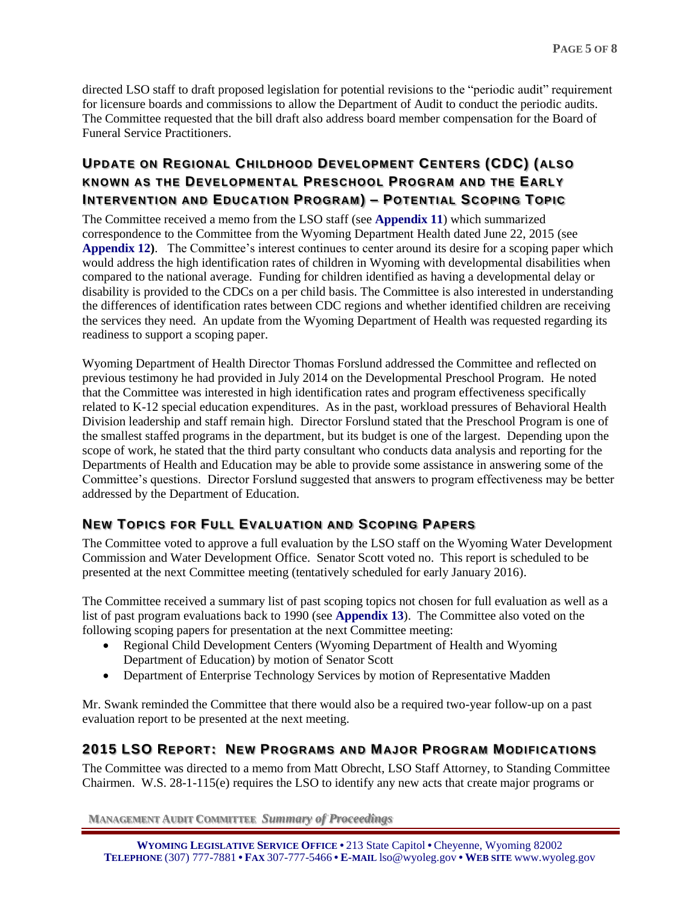directed LSO staff to draft proposed legislation for potential revisions to the "periodic audit" requirement for licensure boards and commissions to allow the Department of Audit to conduct the periodic audits. The Committee requested that the bill draft also address board member compensation for the Board of Funeral Service Practitioners.

# **UPDATE ON REGIONAL CHILDHOOD DEVELOPMENT CENTERS (CDC) (ALSO KNOWN AS THE DEVELOPMENTAL PRESCHOOL PROGRAM AND THE EARLY INTERVENTION AND EDUCATION PROGRAM) – POTENTIAL SCOPING TOPIC**

The Committee received a memo from the LSO staff (see **[Appendix 11](http://legisweb.state.wy.us/InterimCommittee/2015/SMA-0727APPENDIX11)**) which summarized correspondence to the Committee from the Wyoming Department Health dated June 22, 2015 (see **[Appendix](http://legisweb.state.wy.us/InterimCommittee/2015/SMA-0727APPENDIX12.pdf) 12)**. The Committee's interest continues to center around its desire for a scoping paper which would address the high identification rates of children in Wyoming with developmental disabilities when compared to the national average. Funding for children identified as having a developmental delay or disability is provided to the CDCs on a per child basis. The Committee is also interested in understanding the differences of identification rates between CDC regions and whether identified children are receiving the services they need. An update from the Wyoming Department of Health was requested regarding its readiness to support a scoping paper.

Wyoming Department of Health Director Thomas Forslund addressed the Committee and reflected on previous testimony he had provided in July 2014 on the Developmental Preschool Program. He noted that the Committee was interested in high identification rates and program effectiveness specifically related to K-12 special education expenditures. As in the past, workload pressures of Behavioral Health Division leadership and staff remain high. Director Forslund stated that the Preschool Program is one of the smallest staffed programs in the department, but its budget is one of the largest. Depending upon the scope of work, he stated that the third party consultant who conducts data analysis and reporting for the Departments of Health and Education may be able to provide some assistance in answering some of the Committee's questions. Director Forslund suggested that answers to program effectiveness may be better addressed by the Department of Education.

## **NEW TOPICS FOR FULL EVALUATION AND SCOPING PAPERS**

The Committee voted to approve a full evaluation by the LSO staff on the Wyoming Water Development Commission and Water Development Office. Senator Scott voted no. This report is scheduled to be presented at the next Committee meeting (tentatively scheduled for early January 2016).

The Committee received a summary list of past scoping topics not chosen for full evaluation as well as a list of past program evaluations back to 1990 (see **[Appendix 13](http://legisweb.state.wy.us/InterimCommittee/2015/SMA-0727APPENDIX13.pdf)**). The Committee also voted on the following scoping papers for presentation at the next Committee meeting:

- Regional Child Development Centers (Wyoming Department of Health and Wyoming Department of Education) by motion of Senator Scott
- Department of Enterprise Technology Services by motion of Representative Madden

Mr. Swank reminded the Committee that there would also be a required two-year follow-up on a past evaluation report to be presented at the next meeting.

### **2015 LSO REPORT: NEW PROGRAMS AND MAJOR PROGRAM MODIFICATIONS**

The Committee was directed to a memo from Matt Obrecht, LSO Staff Attorney, to Standing Committee Chairmen. W.S. 28-1-115(e) requires the LSO to identify any new acts that create major programs or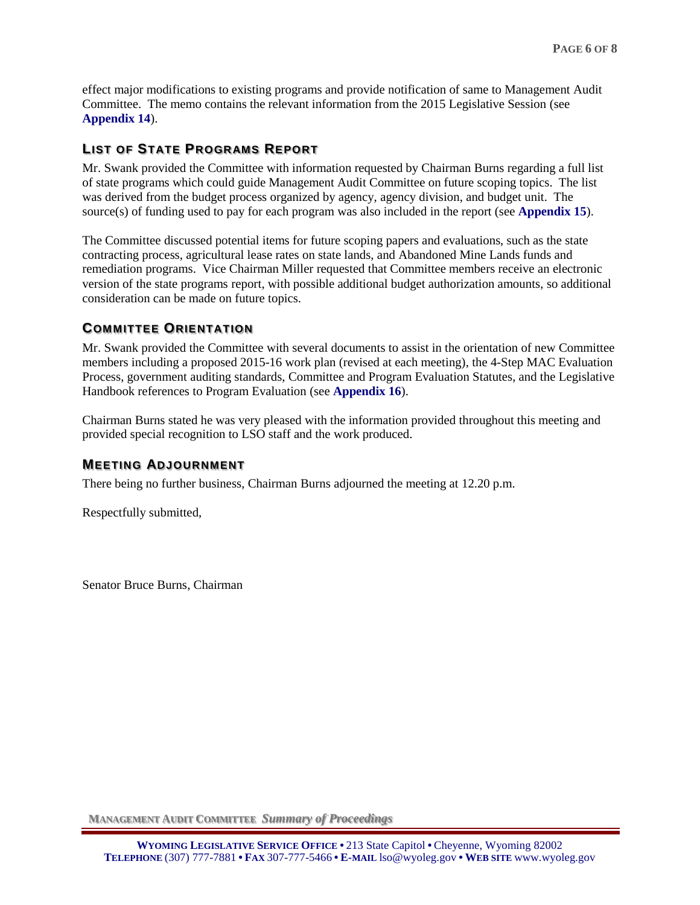effect major modifications to existing programs and provide notification of same to Management Audit Committee. The memo contains the relevant information from the 2015 Legislative Session (see **[Appendix 14](http://legisweb.state.wy.us/InterimCommittee/2015/SMA-0727APPENDIX14.pdf)**).

## **LIST OF STATE PROGRAMS REPORT**

Mr. Swank provided the Committee with information requested by Chairman Burns regarding a full list of state programs which could guide Management Audit Committee on future scoping topics. The list was derived from the budget process organized by agency, agency division, and budget unit. The source(s) of funding used to pay for each program was also included in the report (see **[Appendix 15](http://legisweb.state.wy.us/InterimCommittee/2015/SMA-0727APPENDIX15.pdf)**).

The Committee discussed potential items for future scoping papers and evaluations, such as the state contracting process, agricultural lease rates on state lands, and Abandoned Mine Lands funds and remediation programs. Vice Chairman Miller requested that Committee members receive an electronic version of the state programs report, with possible additional budget authorization amounts, so additional consideration can be made on future topics.

### **COMMITTEE ORIENTATION**

Mr. Swank provided the Committee with several documents to assist in the orientation of new Committee members including a proposed 2015-16 work plan (revised at each meeting), the 4-Step MAC Evaluation Process, government auditing standards, Committee and Program Evaluation Statutes, and the Legislative Handbook references to Program Evaluation (see **[Appendix 16](http://legisweb.state.wy.us/InterimCommittee/2015/SMA-0727APPENDIX16.pdf)**).

Chairman Burns stated he was very pleased with the information provided throughout this meeting and provided special recognition to LSO staff and the work produced.

### **MEETING ADJOURNMENT**

There being no further business, Chairman Burns adjourned the meeting at 12.20 p.m.

Respectfully submitted,

Senator Bruce Burns, Chairman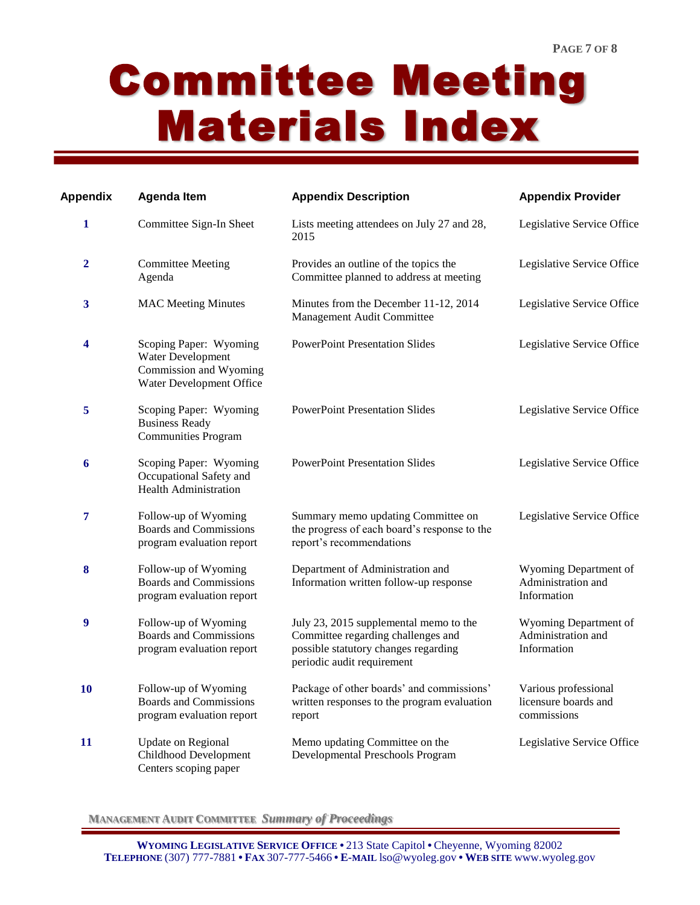# Committee Meeting Materials Index

| Appendix       | <b>Agenda Item</b>                                                                                | <b>Appendix Description</b>                                                                                                                        | <b>Appendix Provider</b>                                    |
|----------------|---------------------------------------------------------------------------------------------------|----------------------------------------------------------------------------------------------------------------------------------------------------|-------------------------------------------------------------|
| $\mathbf{1}$   | Committee Sign-In Sheet                                                                           | Lists meeting attendees on July 27 and 28,<br>2015                                                                                                 | Legislative Service Office                                  |
| $\overline{2}$ | <b>Committee Meeting</b><br>Agenda                                                                | Provides an outline of the topics the<br>Committee planned to address at meeting                                                                   | Legislative Service Office                                  |
| 3              | <b>MAC Meeting Minutes</b>                                                                        | Minutes from the December 11-12, 2014<br>Management Audit Committee                                                                                | Legislative Service Office                                  |
| 4              | Scoping Paper: Wyoming<br>Water Development<br>Commission and Wyoming<br>Water Development Office | <b>PowerPoint Presentation Slides</b>                                                                                                              | Legislative Service Office                                  |
| 5              | Scoping Paper: Wyoming<br><b>Business Ready</b><br><b>Communities Program</b>                     | <b>PowerPoint Presentation Slides</b>                                                                                                              | Legislative Service Office                                  |
| 6              | Scoping Paper: Wyoming<br>Occupational Safety and<br><b>Health Administration</b>                 | <b>PowerPoint Presentation Slides</b>                                                                                                              | Legislative Service Office                                  |
| 7              | Follow-up of Wyoming<br><b>Boards and Commissions</b><br>program evaluation report                | Summary memo updating Committee on<br>the progress of each board's response to the<br>report's recommendations                                     | Legislative Service Office                                  |
| 8              | Follow-up of Wyoming<br><b>Boards and Commissions</b><br>program evaluation report                | Department of Administration and<br>Information written follow-up response                                                                         | Wyoming Department of<br>Administration and<br>Information  |
| 9              | Follow-up of Wyoming<br><b>Boards and Commissions</b><br>program evaluation report                | July 23, 2015 supplemental memo to the<br>Committee regarding challenges and<br>possible statutory changes regarding<br>periodic audit requirement | Wyoming Department of<br>Administration and<br>Information  |
| 10             | Follow-up of Wyoming<br><b>Boards and Commissions</b><br>program evaluation report                | Package of other boards' and commissions'<br>written responses to the program evaluation<br>report                                                 | Various professional<br>licensure boards and<br>commissions |
| 11             | Update on Regional<br>Childhood Development<br>Centers scoping paper                              | Memo updating Committee on the<br>Developmental Preschools Program                                                                                 | Legislative Service Office                                  |